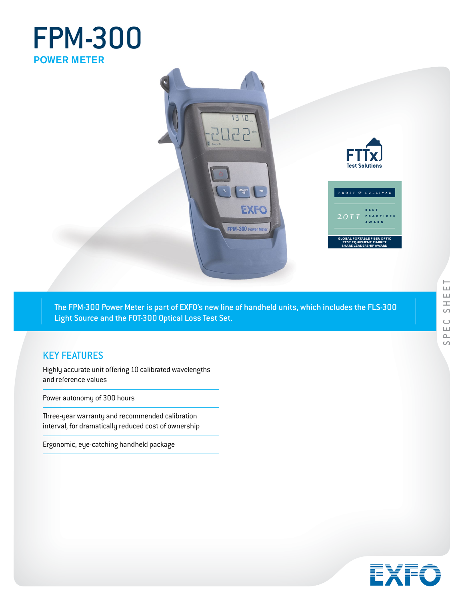# FPM-300 POWER METER



The FPM-300 Power Meter is part of EXFO's new line of handheld units, which includes the FLS-300 Light Source and the FOT-300 Optical Loss Test Set.

# KEY FEATURES

Highly accurate unit offering 10 calibrated wavelengths and reference values

Power autonomy of 300 hours

 Three-year warranty and recommended calibration interval, for dramatically reduced cost of ownership

Ergonomic, eye-catching handheld package

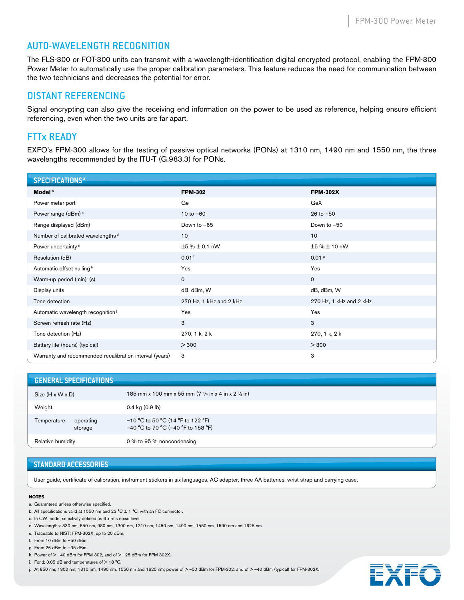### AUTO-WAVELENGTH RECOGNITION

The FLS-300 or FOT-300 units can transmit with a wavelength-identification digital encrypted protocol, enabling the FPM-300 Power Meter to automatically use the proper calibration parameters. This feature reduces the need for communication between the two technicians and decreases the potential for error.

#### DISTANT REFERENCING

Signal encrypting can also give the receiving end information on the power to be used as reference, helping ensure efficient referencing, even when the two units are far apart.

## FTTx READY

EXFO's FPM-300 allows for the testing of passive optical networks (PONs) at 1310 nm, 1490 nm and 1550 nm, the three wavelengths recommended by the ITU-T (G.983.3) for PONs.

| <b>SPECIFICATIONS<sup>a</sup></b>                       |                         |                         |
|---------------------------------------------------------|-------------------------|-------------------------|
| Model <sup>b</sup>                                      | <b>FPM-302</b>          | <b>FPM-302X</b>         |
| Power meter port                                        | Ge                      | GeX                     |
| Power range (dBm) <sup>c</sup>                          | $10 to -60$             | $26$ to $-50$           |
| Range displayed (dBm)                                   | Down to -65             | Down to -50             |
| Number of calibrated wavelengths <sup>d</sup>           | 10                      | 10                      |
| Power uncertainty <sup>e</sup>                          | ±5 % ± 0.1 nW           | ±5 % ± 10 nW            |
| Resolution (dB)                                         | 0.01 <sup>†</sup>       | 0.01 <sup>9</sup>       |
| Automatic offset nulling <sup>h</sup>                   | Yes                     | Yes                     |
| Warm-up period $(min)$ <sup><math>i</math></sup> (s)    | $\mathbf 0$             | $\mathsf{O}$            |
| Display units                                           | dB, dBm, W              | dB, dBm, W              |
| Tone detection                                          | 270 Hz, 1 kHz and 2 kHz | 270 Hz, 1 kHz and 2 kHz |
| Automatic wavelength recognition <sup>j</sup>           | Yes                     | Yes                     |
| Screen refresh rate (Hz)                                | 3                       | 3                       |
| Tone detection (Hz)                                     | 270, 1 k, 2 k           | 270, 1 k, 2 k           |
| Battery life (hours) (typical)                          | > 300                   | > 300                   |
| Warranty and recommended recalibration interval (years) | 3                       | 3                       |

| <b>GENERAL SPECIFICATIONS</b>       |                                                                             |
|-------------------------------------|-----------------------------------------------------------------------------|
| Size (H x W x D)                    | 185 mm x 100 mm x 55 mm (7 $\frac{1}{4}$ in x 4 in x 2 $\frac{1}{8}$ in)    |
| Weight                              | $0.4$ kg $(0.9$ lb)                                                         |
| Temperature<br>operating<br>storage | $-10$ °C to 50 °C (14 °F to 122 °F)<br>$-40$ °C to 70 °C (-40 °F to 158 °F) |
| Relative humidity                   | 0 % to 95 % noncondensing                                                   |

#### **STANDARD ACCESSORIES**

User guide, certificate of calibration, instrument stickers in six languages, AC adapter, three AA batteries, wrist strap and carrying case.

#### **NOTES**

- a. Guaranteed unless otherwise specified.
- b. All specifications valid at 1550 nm and 23 °C ± 1 °C, with an FC connector.
- c. In CW mode; sensitivity defined as 6 x rms noise level.
- d. Wavelengths: 830 nm, 850 nm, 980 nm, 1300 nm, 1310 nm, 1450 nm, 1490 nm, 1550 nm, 1590 nm and 1625 nm.
- e. Traceable to NIST; FPM-302X: up to 20 dBm.
- f. From 10 dBm to –50 dBm.
- g. From 26 dBm to –35 dBm.
- h. Power of  $> -40$  dBm for FPM-302, and of  $> -25$  dBm for FPM-302X.
- i. For  $\pm$  0.05 dB and temperatures of  $>$  18 °C.
- j. At 850 nm, 1300 nm, 1310 nm, 1490 nm, 1550 nm and 1625 nm; power of > -50 dBm for FPM-302, and of > -40 dBm (typical) for FPM-302X.